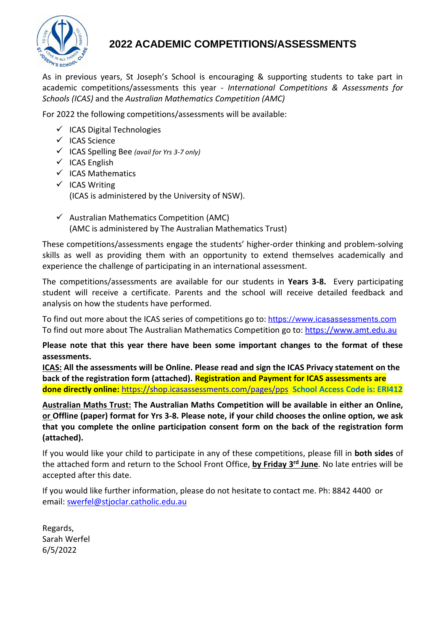

## **2022 ACADEMIC COMPETITIONS/ASSESSMENTS**

As in previous years, St Joseph's School is encouraging & supporting students to take part in academic competitions/assessments this year *- International Competitions & Assessments for Schools (ICAS)* and the *Australian Mathematics Competition (AMC)*

For 2022 the following competitions/assessments will be available:

- ✓ ICAS Digital Technologies
- ✓ ICAS Science
- ✓ ICAS Spelling Bee *(avail for Yrs 3-7 only)*
- $\checkmark$  ICAS English
- ✓ ICAS Mathematics
- ✓ ICAS Writing (ICAS is administered by the University of NSW).
- $\checkmark$  Australian Mathematics Competition (AMC) (AMC is administered by The Australian Mathematics Trust)

These competitions/assessments engage the students' higher-order thinking and problem-solving skills as well as providing them with an opportunity to extend themselves academically and experience the challenge of participating in an international assessment.

The competitions/assessments are available for our students in **Years 3-8.** Every participating student will receive a certificate. Parents and the school will receive detailed feedback and analysis on how the students have performed.

To find out more about the ICAS series of competitions go to: [https://www.icasassessments.com](https://www.icasassessments.com/) To find out more about The Australian Mathematics Competition go to: [https://www.amt.edu.au](https://www.amt.edu.au/)

**Please note that this year there have been some important changes to the format of these assessments.**

**ICAS: All the assessments will be Online. Please read and sign the ICAS Privacy statement on the back of the registration form (attached). Registration and Payment for ICAS assessments are done directly online:** <https://shop.icasassessments.com/pages/pps>**School Access Code is: ERI412**

**Australian Maths Trust: The Australian Maths Competition will be available in either an Online, or Offline (paper) format for Yrs 3-8. Please note, if your child chooses the online option, we ask that you complete the online participation consent form on the back of the registration form (attached).**

If you would like your child to participate in any of these competitions, please fill in **both sides** of the attached form and return to the School Front Office, **by Friday 3 rd June**. No late entries will be accepted after this date.

If you would like further information, please do not hesitate to contact me. Ph: 8842 4400 or email: [swerfel@stjoclar.catholic.edu.au](mailto:swerfel@stjoclar.catholic.edu.au)

Regards, Sarah Werfel 6/5/2022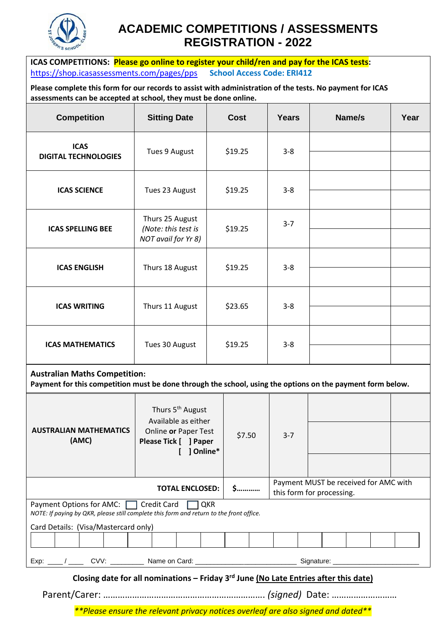

# **ACADEMIC COMPETITIONS / ASSESSMENTS REGISTRATION - 2022**

**ICAS COMPETITIONS: Please go online to register your child/ren and pay for the ICAS tests:** <https://shop.icasassessments.com/pages/pps>**School Access Code: ERI412**

**Please complete this form for our records to assist with administration of the tests. No payment for ICAS assessments can be accepted at school, they must be done online.**

| <b>Competition</b>                                                                                                                                 | <b>Sitting Date</b>                                           | <b>Cost</b> | <b>Years</b> | Name/s | Year |
|----------------------------------------------------------------------------------------------------------------------------------------------------|---------------------------------------------------------------|-------------|--------------|--------|------|
| <b>ICAS</b><br><b>DIGITAL TECHNOLOGIES</b>                                                                                                         | Tues 9 August                                                 | \$19.25     | $3 - 8$      |        |      |
| <b>ICAS SCIENCE</b>                                                                                                                                | Tues 23 August                                                | \$19.25     | $3 - 8$      |        |      |
| <b>ICAS SPELLING BEE</b>                                                                                                                           | Thurs 25 August<br>(Note: this test is<br>NOT avail for Yr 8) | \$19.25     | $3 - 7$      |        |      |
| <b>ICAS ENGLISH</b>                                                                                                                                | Thurs 18 August                                               | \$19.25     | $3 - 8$      |        |      |
| <b>ICAS WRITING</b>                                                                                                                                | Thurs 11 August                                               | \$23.65     | $3 - 8$      |        |      |
| <b>ICAS MATHEMATICS</b>                                                                                                                            | Tues 30 August                                                | \$19.25     | $3 - 8$      |        |      |
| <b>Australian Maths Competition:</b><br>Payment for this competition must be done through the school, using the options on the payment form below. |                                                               |             |              |        |      |

| <b>AUSTRALIAN MATHEMATICS</b><br>(AMC)                                                                                                                                           | Thurs 5 <sup>th</sup> August<br>Available as either<br>Online or Paper Test<br>Please Tick [ ] Paper<br>] Online*                                                                                                                   | \$7.50                                                             | $3 - 7$ |  |  |  |  |  |
|----------------------------------------------------------------------------------------------------------------------------------------------------------------------------------|-------------------------------------------------------------------------------------------------------------------------------------------------------------------------------------------------------------------------------------|--------------------------------------------------------------------|---------|--|--|--|--|--|
|                                                                                                                                                                                  | \$                                                                                                                                                                                                                                  | Payment MUST be received for AMC with<br>this form for processing. |         |  |  |  |  |  |
| Payment Options for AMC:   Credit Card<br>QKR<br>NOTE: If paying by QKR, please still complete this form and return to the front office.<br>Card Details: (Visa/Mastercard only) |                                                                                                                                                                                                                                     |                                                                    |         |  |  |  |  |  |
|                                                                                                                                                                                  |                                                                                                                                                                                                                                     |                                                                    |         |  |  |  |  |  |
|                                                                                                                                                                                  | Signature: <u>contained</u> and contained a state of the state of the state of the state of the state of the state of the state of the state of the state of the state of the state of the state of the state of the state of the s |                                                                    |         |  |  |  |  |  |

**Closing date for all nominations – Friday 3 rd June (No Late Entries after this date)**

Parent/Carer: …………………………………………………………. *(signed)* Date: ………………………

*\*\*Please ensure the relevant privacy notices overleaf are also signed and dated\*\**